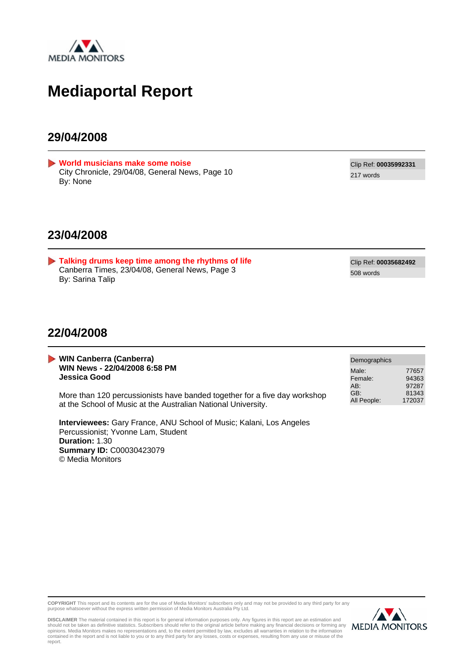

### **Mediaportal Report**

### **29/04/2008**

<span id="page-0-0"></span>**[World musicians make some noise](#page-2-0)** City Chronicle, 29/04/08, General News, Page 10 By: None

Clip Ref: **00035992331** 217 words

### **23/04/2008**

<span id="page-0-1"></span>**[Talking drums keep time among the rhythms of life](#page-3-0)** Canberra Times, 23/04/08, General News, Page 3 By: Sarina Talip

Clip Ref: **00035682492** 508 words

### **22/04/2008**

| <b>WIN Canberra (Canberra)</b><br>WIN News - 22/04/2008 6:58 PM<br>Jessica Good                                                            | Demographics            |                         |
|--------------------------------------------------------------------------------------------------------------------------------------------|-------------------------|-------------------------|
|                                                                                                                                            | Male:<br>Female:<br>AB: | 77657<br>94363<br>97287 |
| More than 120 percussionists have banded together for a five day workshop<br>at the School of Music at the Australian National University. | GB:<br>All People:      | 81343<br>172037         |

**Interviewees:** Gary France, ANU School of Music; Kalani, Los Angeles Percussionist; Yvonne Lam, Student **Duration:** 1.30 **Summary ID:** C00030423079 © Media Monitors

**COPYRIGHT** This report and its contents are for the use of Media Monitors' subscribers only and may not be provided to any third party for any purpose whatsoever without the express written permission of Media Monitors Australia Pty Ltd.



DISCLAIMER The material contained in this report is for general information purposes only. Any figures in this report are an estimation and<br>should not be taken as definitive statistics. Subscribers should refer to the orig report.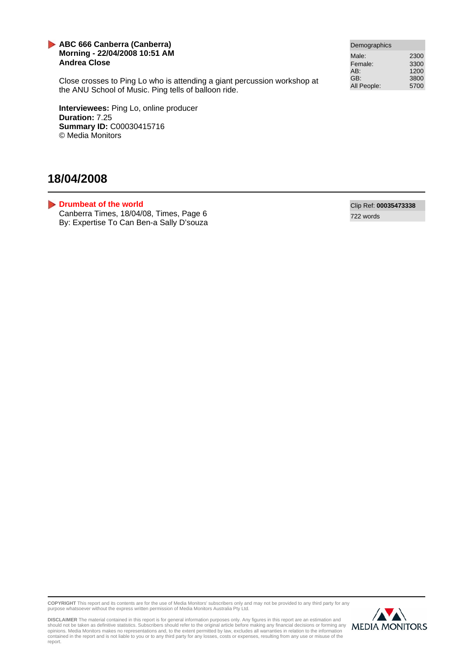### **ABC 666 Canberra (Canberra) Morning - 22/04/2008 10:51 AM Andrea Close**

Close crosses to Ping Lo who is attending a giant percussion workshop at the ANU School of Music. Ping tells of balloon ride.

**Interviewees:** Ping Lo, online producer **Duration:** 7.25 **Summary ID:** C00030415716 © Media Monitors

### **18/04/2008**

<span id="page-1-0"></span>**[Drumbeat of the world](#page-4-0)** Canberra Times, 18/04/08, Times, Page 6 By: Expertise To Can Ben-a Sally D'souza

| Demographics |      |
|--------------|------|
| Male:        | 2300 |
| Female:      | 3300 |
| AB:          | 1200 |
| GB:          | 3800 |
| All People:  | 5700 |

Clip Ref: **00035473338** 722 words

**COPYRIGHT** This report and its contents are for the use of Media Monitors' subscribers only and may not be provided to any third party for any purpose whatsoever without the express written permission of Media Monitors Australia Pty Ltd.



DISCLAIMER The material contained in this report is for general information purposes only. Any figures in this report are an estimation and<br>should not be taken as definitive statistics. Subscribers should refer to the orig report.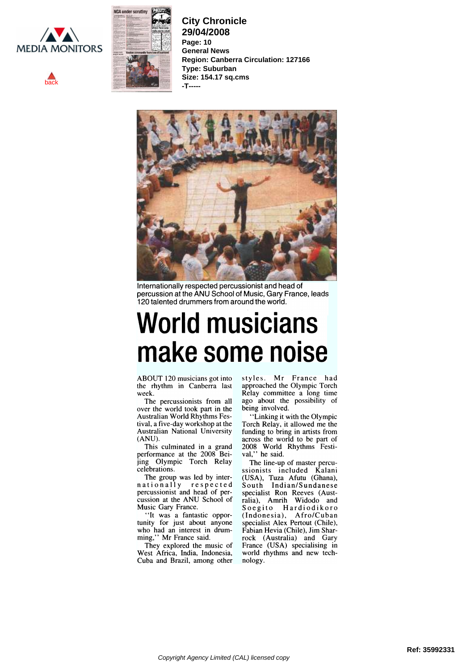<span id="page-2-0"></span>





**City Chronicle 29/04/2008 Page: 10 General News Region: Canberra Circulation: 127166 Type: Suburban Size: 154.17 sq.cms -T-----**



Internationally respected percussionist and head of percussion at the ANU School of Music, Gary France, leads 120 talented drummers from around the world.

# World musicians make some noise

ABOUT 120 musicians got into week.

The percussionists from all over the world took part in the Australian World Rhythms Festival, a five-day workshop at the (ANU).

This culminated in a grand performance at the 2008 Beijing Olympic Torch Relay celebrations.

The group was led by inter-<br>nationally respected percussionist and head of percussion at the ANU School of Music Gary France.

"It was a fantastic opportunity for just about anyone who had an interest in drumming," Mr France said.

They explored the music of West Africa, India, Indonesia, Cuba and Brazil, among other

the rhythm in Canberra last approached the Olympic Torch<br>week. Relay committee a long time styles. Mr France had approached the Olympic Torch ago about the possibility of being involved.

Australian National University funding to bring in artists from (ANU).<br>
across the world to be part of "Linking it with the Olympic Torch Relay, it allowed me the funding to bring in artists from across the world to be part of 2008 World Rhythms Festival," he said.

> The line-up of master percussionists included Kalani (USA), Tuza Afutu (Ghana), South Indian/Sundanese specialist Ron Reeves (Australia), Amrih Widodo and Soegito Hardiodikoro (Indonesia), Afro/Cuban specialist Alex Pertout (Chile), Fabian Hevia (Chile), Jim Sharrock (Australia) and Gary France (USA) specialising in world rhythms and new technology.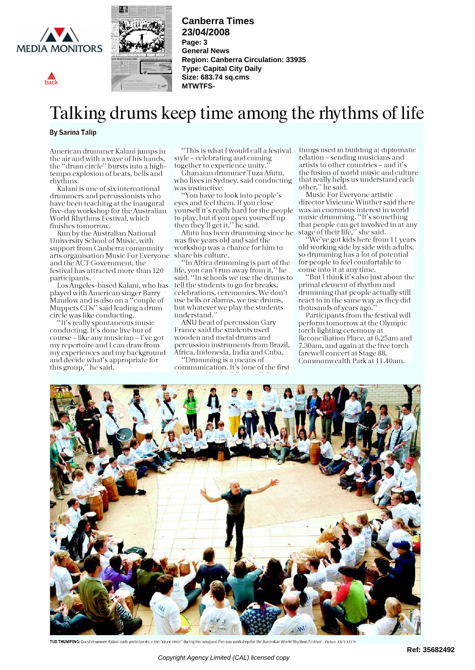<span id="page-3-0"></span>

[back](#page-0-1)



**Canberra Times 23/04/2008 Page: 3 General News Region: Canberra Circulation: 33935 Type: Capital City Daily Size: 683.74 sq.cms MTWTFS-**

## Talking drums keep time among the rhythms of life

#### By Sarina Talip

American drummer Kalani jumps in the air and with a wave of his hands, the "drum circle" bursts into a hightempo explosion of beats, bells and rhythms.

Kalani is one of six international drummers and percussionists who have been teaching at the inaugural five-day workshop for the Australian World Rhythms Festival, which finishes tomorrow.

Run by the Australian National University School of Music, with support from Canberra community arts organisation Music For Everyone share his culture. and the ACT Government, the festival has attracted more than 120 participants.

Los Angeles-based Kalani, who has played with American singer Barry Manilow and is also on a "couple of  $\quad$  use l Muppets CDs'' said leading a drum htt whatever circle was like conducting.

"It's really spontaneous music conducting. It's done live but of course - like any musician - I've got my repertoire and I can draw from my experiences and my background and decide what's appropriate for this group," he said.

"This is what I would call a festival style - celebrating and coming together to experience unity."

Ghanaian drummer Tuza Afutu, who lives in Sydney, said conducting was instinctive.

"You have to look into people's eyes and feel them. If you close yourself it's really hard for the people to play, but if you open yourself up music then they'll get it," he said.

Afutu has been drumming since he was five years old and said the workshop was a chance for him to

"In Africa drumming is part of the life, you can't run away from it," he said. "In schools we use the drums to tell the students to go for breaks, celebrations, ceremonies. We don't use bells or alarms, we use drums, but whatever we play the students understand."

ANU head of percussion Gary France said the students used wooden and metal drums and percussion instruments from Brazil, Africa, Indonesia, India and Cuba.

"Dnimming is a means of communication. It's [one of the first things used in building a] diplomatic relation - sending musicians and artists to other countries - and it's the fusion of world music and culture that really helps us understand each other," he said.

Music For Everyone artistic director Vivienne Winther said there was an enormous interest in world music drumming. "It's something that people can get involved in at any stage of their life," she said.

"We've got kids here from 11 years old working side by side with adults, so drumming has a lot of potential for people to feel comfortable to come into it at any time.

"But I think it's also just about the primal element of rhythm and drumming that people actually still react to in the same way as they did thousands of years ago."

Participants from the festival will perform tomorrow at the Olympic torch lighting ceremony at Reconciliation Place, at 6.25ani and 7.30am, and again at the free torch farewell concert at Stage 88, Commonwealth Park at 1 1.40am.



TUB THUMPING: Guest drummer Kalani leads participants in the "drum circle" during the inaugural five-day workshop for the Australian World Rhythms Festival. Picture: KATE LEITH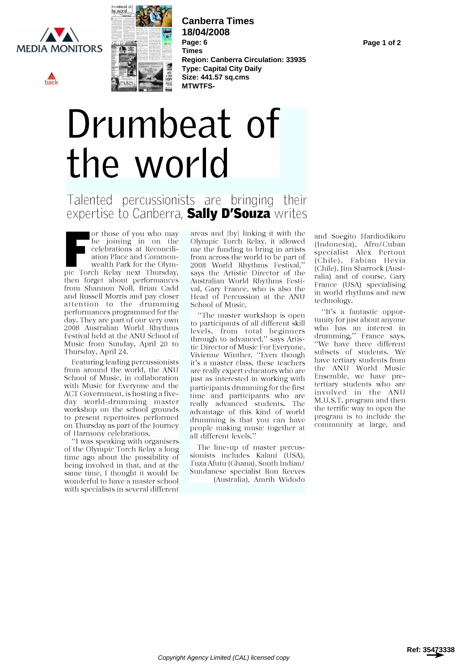<span id="page-4-0"></span>

[back](#page-1-0)



**Canberra Times 18/04/2008 Page: 6 Times Region: Canberra Circulation: 33935 Type: Capital City Daily Size: 441.57 sq.cms MTWTFS-**

# Drumbeat of the world

### Talented percussionists are bringing their expertise to Canberra, Sally D'Souza writes

For those of you who may be joining in on the celebrations at Reconciliation Place and Commonwealth Park for the Olympic Torch Relay next Thursday, says the Artistic Director of the<br>then forget about performances Australian World Rhythms Festi-<br>from Shannon Noll, Brian Cadd val, Gary France, who is also the from Shannon Noll, Brian Cadd and Russell Morris and pay closer attention to the drumming performances programmed for the day. They are part of our very own 2008 Australian World Rhythms Festival held at the ANU School of Music from Sunday, April 20 to Thursday, April 24.

Featuring leading percussionists from around the world, the ANU School of Music, in collaboration with Music for Everyone and the<br>ACT Government, is hosting a five-ACT Government, is hosting a five-<br>day world-drumming master really advanced students. The<br>workshop on the school grounds advantage of this kind of world to present repertoires performed drumming is that you can have on Thursday as part of the Journey of Harmony celebrations.

"I was speaking with organisers of the Olympic Torch Relay a long time ago about the possibility of being involved in that, and at the same time, I thought it would be wonderful to have a master school with specialists in several different

areas and [by] linking it with the Olympic Torch Relay, it allowed me the funding to bring in artists<br>from across the world to be part of 2008 World Rhythms Festival," says the Artistic Director of the Australian World Rhythms Festi-Head of Percussion at the ANU School of Music.

"The master workshop is open to participants of all different skill<br>lovels from total boginners who has an interest in levels, from total beginners  $\frac{\text{who}}{4\pi\text{mm}}$ through to advanced," says Artistic Director of Music For Everyone, Vivienne Winther. "Even though it's a master class, these teachers are really expert educators who are just as interested in working with participants drumming for the first really advanced students. The advantage of this kind of world<br>drumming is that you can have program is to include the<br>proper music together at and<br>community at large, and people making music together at all different levels."

The line-up of master percussionists includes Kalani (USA), Tuza Afutu (Ghana), South Indian/ Sundanese specialist Ron Reeves (Australia), Amrih Widodo

and Soegito Hardiodikoro (Indonesia), Afro/Cuban specialist Alex Pertout (Chile), Fabian Hevia (Chile), Jim Sharrock (Australia) and of course, Gary France (USA) specialising in world rhythms and new technology.

"It's a fantastic opportunity for just about anyone drumming,'' France says.<br>''We have three different subsets of students. We have tertiary students from the ANU World Music Ensemble, we have pretertiary students who are involved in the ANU M.U.S.T. program and then the terrific way to open the program is to include the